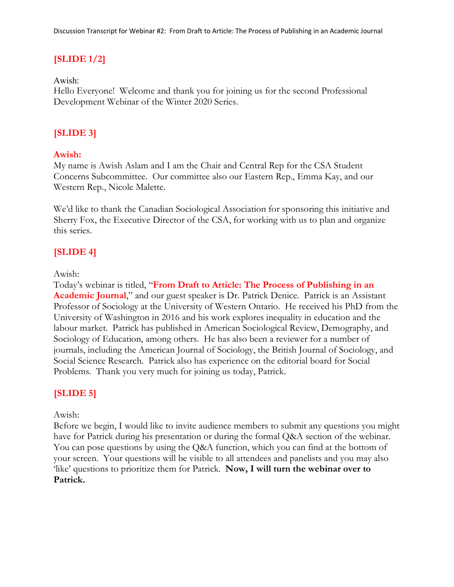# **[SLIDE 1/2]**

Awish:

Hello Everyone! Welcome and thank you for joining us for the second Professional Development Webinar of the Winter 2020 Series.

# **[SLIDE 3]**

## **Awish:**

My name is Awish Aslam and I am the Chair and Central Rep for the CSA Student Concerns Subcommittee. Our committee also our Eastern Rep., Emma Kay, and our Western Rep., Nicole Malette.

We'd like to thank the Canadian Sociological Association for sponsoring this initiative and Sherry Fox, the Executive Director of the CSA, for working with us to plan and organize this series.

# **[SLIDE 4]**

Awish:

Today's webinar is titled, "**From Draft to Article: The Process of Publishing in an Academic Journal**," and our guest speaker is Dr. Patrick Denice. Patrick is an Assistant Professor of Sociology at the University of Western Ontario. He received his PhD from the University of Washington in 2016 and his work explores inequality in education and the labour market. Patrick has published in American Sociological Review, Demography, and Sociology of Education, among others. He has also been a reviewer for a number of journals, including the American Journal of Sociology, the British Journal of Sociology, and Social Science Research. Patrick also has experience on the editorial board for Social Problems. Thank you very much for joining us today, Patrick.

# **[SLIDE 5]**

Awish:

Before we begin, I would like to invite audience members to submit any questions you might have for Patrick during his presentation or during the formal Q&A section of the webinar. You can pose questions by using the Q&A function, which you can find at the bottom of your screen. Your questions will be visible to all attendees and panelists and you may also 'like' questions to prioritize them for Patrick. **Now, I will turn the webinar over to Patrick.**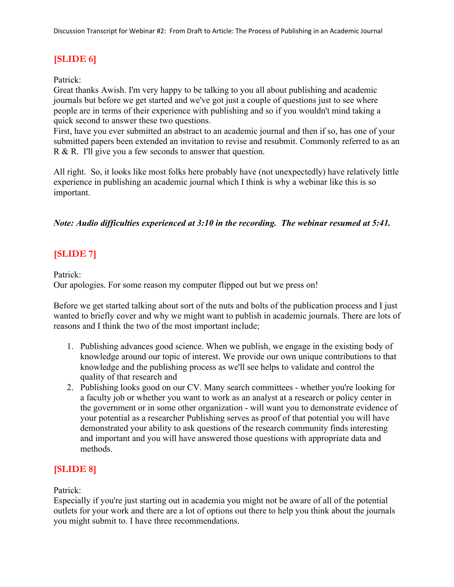# **[SLIDE 6]**

### Patrick:

Great thanks Awish. I'm very happy to be talking to you all about publishing and academic journals but before we get started and we've got just a couple of questions just to see where people are in terms of their experience with publishing and so if you wouldn't mind taking a quick second to answer these two questions.

First, have you ever submitted an abstract to an academic journal and then if so, has one of your submitted papers been extended an invitation to revise and resubmit. Commonly referred to as an R & R. I'll give you a few seconds to answer that question.

All right. So, it looks like most folks here probably have (not unexpectedly) have relatively little experience in publishing an academic journal which I think is why a webinar like this is so important.

## *Note: Audio difficulties experienced at 3:10 in the recording. The webinar resumed at 5:41.*

# **[SLIDE 7]**

Patrick:

Our apologies. For some reason my computer flipped out but we press on!

Before we get started talking about sort of the nuts and bolts of the publication process and I just wanted to briefly cover and why we might want to publish in academic journals. There are lots of reasons and I think the two of the most important include;

- 1. Publishing advances good science. When we publish, we engage in the existing body of knowledge around our topic of interest. We provide our own unique contributions to that knowledge and the publishing process as we'll see helps to validate and control the quality of that research and
- 2. Publishing looks good on our CV. Many search committees whether you're looking for a faculty job or whether you want to work as an analyst at a research or policy center in the government or in some other organization - will want you to demonstrate evidence of your potential as a researcher Publishing serves as proof of that potential you will have demonstrated your ability to ask questions of the research community finds interesting and important and you will have answered those questions with appropriate data and methods.

# **[SLIDE 8]**

## Patrick:

Especially if you're just starting out in academia you might not be aware of all of the potential outlets for your work and there are a lot of options out there to help you think about the journals you might submit to. I have three recommendations.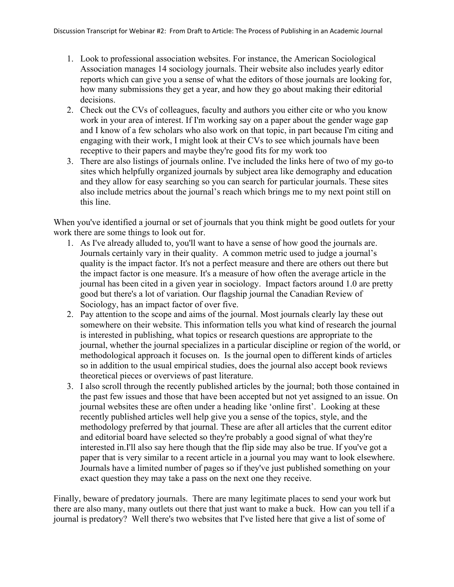- 1. Look to professional association websites. For instance, the American Sociological Association manages 14 sociology journals. Their website also includes yearly editor reports which can give you a sense of what the editors of those journals are looking for, how many submissions they get a year, and how they go about making their editorial decisions.
- 2. Check out the CVs of colleagues, faculty and authors you either cite or who you know work in your area of interest. If I'm working say on a paper about the gender wage gap and I know of a few scholars who also work on that topic, in part because I'm citing and engaging with their work, I might look at their CVs to see which journals have been receptive to their papers and maybe they're good fits for my work too
- 3. There are also listings of journals online. I've included the links here of two of my go-to sites which helpfully organized journals by subject area like demography and education and they allow for easy searching so you can search for particular journals. These sites also include metrics about the journal's reach which brings me to my next point still on this line.

When you've identified a journal or set of journals that you think might be good outlets for your work there are some things to look out for.

- 1. As I've already alluded to, you'll want to have a sense of how good the journals are. Journals certainly vary in their quality. A common metric used to judge a journal's quality is the impact factor. It's not a perfect measure and there are others out there but the impact factor is one measure. It's a measure of how often the average article in the journal has been cited in a given year in sociology. Impact factors around 1.0 are pretty good but there's a lot of variation. Our flagship journal the Canadian Review of Sociology, has an impact factor of over five.
- 2. Pay attention to the scope and aims of the journal. Most journals clearly lay these out somewhere on their website. This information tells you what kind of research the journal is interested in publishing, what topics or research questions are appropriate to the journal, whether the journal specializes in a particular discipline or region of the world, or methodological approach it focuses on. Is the journal open to different kinds of articles so in addition to the usual empirical studies, does the journal also accept book reviews theoretical pieces or overviews of past literature.
- 3. I also scroll through the recently published articles by the journal; both those contained in the past few issues and those that have been accepted but not yet assigned to an issue. On journal websites these are often under a heading like 'online first'. Looking at these recently published articles well help give you a sense of the topics, style, and the methodology preferred by that journal. These are after all articles that the current editor and editorial board have selected so they're probably a good signal of what they're interested in.I'll also say here though that the flip side may also be true. If you've got a paper that is very similar to a recent article in a journal you may want to look elsewhere. Journals have a limited number of pages so if they've just published something on your exact question they may take a pass on the next one they receive.

Finally, beware of predatory journals. There are many legitimate places to send your work but there are also many, many outlets out there that just want to make a buck. How can you tell if a journal is predatory? Well there's two websites that I've listed here that give a list of some of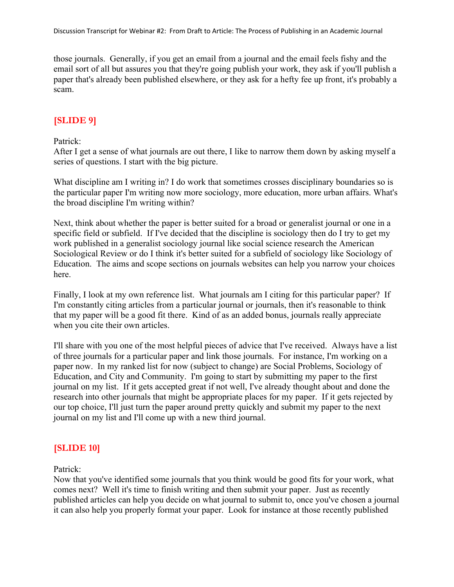those journals. Generally, if you get an email from a journal and the email feels fishy and the email sort of all but assures you that they're going publish your work, they ask if you'll publish a paper that's already been published elsewhere, or they ask for a hefty fee up front, it's probably a scam.

# **[SLIDE 9]**

#### Patrick:

After I get a sense of what journals are out there, I like to narrow them down by asking myself a series of questions. I start with the big picture.

What discipline am I writing in? I do work that sometimes crosses disciplinary boundaries so is the particular paper I'm writing now more sociology, more education, more urban affairs. What's the broad discipline I'm writing within?

Next, think about whether the paper is better suited for a broad or generalist journal or one in a specific field or subfield. If I've decided that the discipline is sociology then do I try to get my work published in a generalist sociology journal like social science research the American Sociological Review or do I think it's better suited for a subfield of sociology like Sociology of Education. The aims and scope sections on journals websites can help you narrow your choices here.

Finally, I look at my own reference list. What journals am I citing for this particular paper? If I'm constantly citing articles from a particular journal or journals, then it's reasonable to think that my paper will be a good fit there. Kind of as an added bonus, journals really appreciate when you cite their own articles.

I'll share with you one of the most helpful pieces of advice that I've received. Always have a list of three journals for a particular paper and link those journals. For instance, I'm working on a paper now. In my ranked list for now (subject to change) are Social Problems, Sociology of Education, and City and Community. I'm going to start by submitting my paper to the first journal on my list. If it gets accepted great if not well, I've already thought about and done the research into other journals that might be appropriate places for my paper. If it gets rejected by our top choice, I'll just turn the paper around pretty quickly and submit my paper to the next journal on my list and I'll come up with a new third journal.

# **[SLIDE 10]**

Patrick:

Now that you've identified some journals that you think would be good fits for your work, what comes next? Well it's time to finish writing and then submit your paper. Just as recently published articles can help you decide on what journal to submit to, once you've chosen a journal it can also help you properly format your paper. Look for instance at those recently published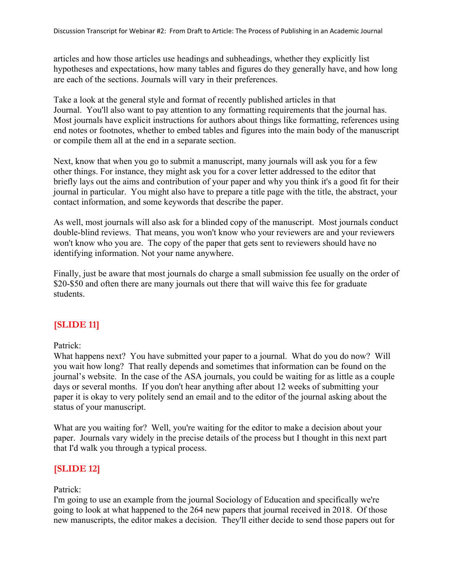articles and how those articles use headings and subheadings, whether they explicitly list hypotheses and expectations, how many tables and figures do they generally have, and how long are each of the sections. Journals will vary in their preferences.

Take a look at the general style and format of recently published articles in that Journal. You'll also want to pay attention to any formatting requirements that the journal has. Most journals have explicit instructions for authors about things like formatting, references using end notes or footnotes, whether to embed tables and figures into the main body of the manuscript or compile them all at the end in a separate section.

Next, know that when you go to submit a manuscript, many journals will ask you for a few other things. For instance, they might ask you for a cover letter addressed to the editor that briefly lays out the aims and contribution of your paper and why you think it's a good fit for their journal in particular. You might also have to prepare a title page with the title, the abstract, your contact information, and some keywords that describe the paper.

As well, most journals will also ask for a blinded copy of the manuscript. Most journals conduct double-blind reviews. That means, you won't know who your reviewers are and your reviewers won't know who you are. The copy of the paper that gets sent to reviewers should have no identifying information. Not your name anywhere.

Finally, just be aware that most journals do charge a small submission fee usually on the order of \$20-\$50 and often there are many journals out there that will waive this fee for graduate students.

# **[SLIDE 11]**

Patrick:

What happens next? You have submitted your paper to a journal. What do you do now? Will you wait how long? That really depends and sometimes that information can be found on the journal's website. In the case of the ASA journals, you could be waiting for as little as a couple days or several months. If you don't hear anything after about 12 weeks of submitting your paper it is okay to very politely send an email and to the editor of the journal asking about the status of your manuscript.

What are you waiting for? Well, you're waiting for the editor to make a decision about your paper. Journals vary widely in the precise details of the process but I thought in this next part that I'd walk you through a typical process.

# **[SLIDE 12]**

## Patrick:

I'm going to use an example from the journal Sociology of Education and specifically we're going to look at what happened to the 264 new papers that journal received in 2018. Of those new manuscripts, the editor makes a decision. They'll either decide to send those papers out for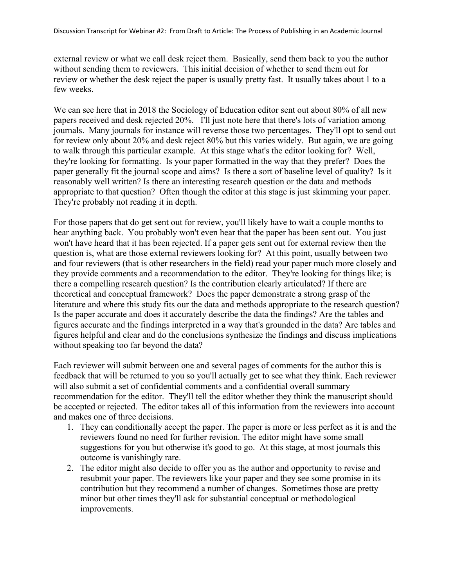external review or what we call desk reject them. Basically, send them back to you the author without sending them to reviewers. This initial decision of whether to send them out for review or whether the desk reject the paper is usually pretty fast. It usually takes about 1 to a few weeks.

We can see here that in 2018 the Sociology of Education editor sent out about 80% of all new papers received and desk rejected 20%. I'll just note here that there's lots of variation among journals. Many journals for instance will reverse those two percentages. They'll opt to send out for review only about 20% and desk reject 80% but this varies widely. But again, we are going to walk through this particular example. At this stage what's the editor looking for? Well, they're looking for formatting. Is your paper formatted in the way that they prefer? Does the paper generally fit the journal scope and aims? Is there a sort of baseline level of quality? Is it reasonably well written? Is there an interesting research question or the data and methods appropriate to that question? Often though the editor at this stage is just skimming your paper. They're probably not reading it in depth.

For those papers that do get sent out for review, you'll likely have to wait a couple months to hear anything back. You probably won't even hear that the paper has been sent out. You just won't have heard that it has been rejected. If a paper gets sent out for external review then the question is, what are those external reviewers looking for? At this point, usually between two and four reviewers (that is other researchers in the field) read your paper much more closely and they provide comments and a recommendation to the editor. They're looking for things like; is there a compelling research question? Is the contribution clearly articulated? If there are theoretical and conceptual framework? Does the paper demonstrate a strong grasp of the literature and where this study fits our the data and methods appropriate to the research question? Is the paper accurate and does it accurately describe the data the findings? Are the tables and figures accurate and the findings interpreted in a way that's grounded in the data? Are tables and figures helpful and clear and do the conclusions synthesize the findings and discuss implications without speaking too far beyond the data?

Each reviewer will submit between one and several pages of comments for the author this is feedback that will be returned to you so you'll actually get to see what they think. Each reviewer will also submit a set of confidential comments and a confidential overall summary recommendation for the editor. They'll tell the editor whether they think the manuscript should be accepted or rejected. The editor takes all of this information from the reviewers into account and makes one of three decisions.

- 1. They can conditionally accept the paper. The paper is more or less perfect as it is and the reviewers found no need for further revision. The editor might have some small suggestions for you but otherwise it's good to go. At this stage, at most journals this outcome is vanishingly rare.
- 2. The editor might also decide to offer you as the author and opportunity to revise and resubmit your paper. The reviewers like your paper and they see some promise in its contribution but they recommend a number of changes. Sometimes those are pretty minor but other times they'll ask for substantial conceptual or methodological improvements.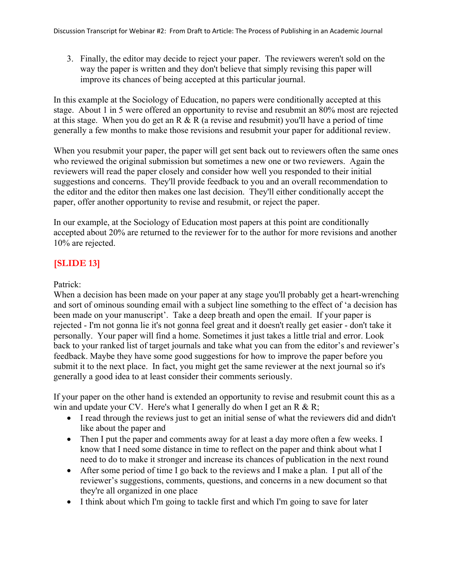3. Finally, the editor may decide to reject your paper. The reviewers weren't sold on the way the paper is written and they don't believe that simply revising this paper will improve its chances of being accepted at this particular journal.

In this example at the Sociology of Education, no papers were conditionally accepted at this stage. About 1 in 5 were offered an opportunity to revise and resubmit an 80% most are rejected at this stage. When you do get an R & R (a revise and resubmit) you'll have a period of time generally a few months to make those revisions and resubmit your paper for additional review.

When you resubmit your paper, the paper will get sent back out to reviewers often the same ones who reviewed the original submission but sometimes a new one or two reviewers. Again the reviewers will read the paper closely and consider how well you responded to their initial suggestions and concerns. They'll provide feedback to you and an overall recommendation to the editor and the editor then makes one last decision. They'll either conditionally accept the paper, offer another opportunity to revise and resubmit, or reject the paper.

In our example, at the Sociology of Education most papers at this point are conditionally accepted about 20% are returned to the reviewer for to the author for more revisions and another 10% are rejected.

# **[SLIDE 13]**

## Patrick:

When a decision has been made on your paper at any stage you'll probably get a heart-wrenching and sort of ominous sounding email with a subject line something to the effect of 'a decision has been made on your manuscript'. Take a deep breath and open the email. If your paper is rejected - I'm not gonna lie it's not gonna feel great and it doesn't really get easier - don't take it personally. Your paper will find a home. Sometimes it just takes a little trial and error. Look back to your ranked list of target journals and take what you can from the editor's and reviewer's feedback. Maybe they have some good suggestions for how to improve the paper before you submit it to the next place. In fact, you might get the same reviewer at the next journal so it's generally a good idea to at least consider their comments seriously.

If your paper on the other hand is extended an opportunity to revise and resubmit count this as a win and update your CV. Here's what I generally do when I get an R & R;

- I read through the reviews just to get an initial sense of what the reviewers did and didn't like about the paper and
- Then I put the paper and comments away for at least a day more often a few weeks. I know that I need some distance in time to reflect on the paper and think about what I need to do to make it stronger and increase its chances of publication in the next round
- After some period of time I go back to the reviews and I make a plan. I put all of the reviewer's suggestions, comments, questions, and concerns in a new document so that they're all organized in one place
- I think about which I'm going to tackle first and which I'm going to save for later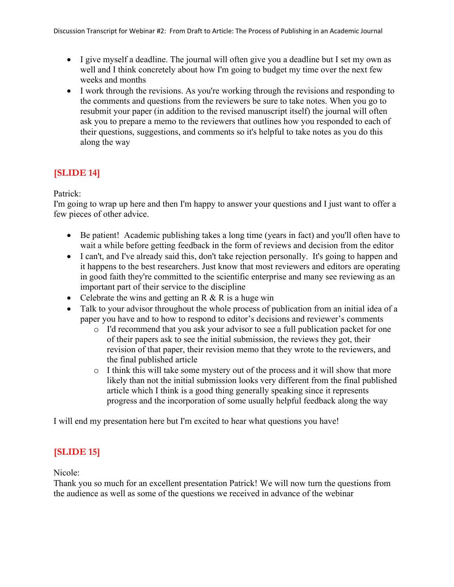- I give myself a deadline. The journal will often give you a deadline but I set my own as well and I think concretely about how I'm going to budget my time over the next few weeks and months
- I work through the revisions. As you're working through the revisions and responding to the comments and questions from the reviewers be sure to take notes. When you go to resubmit your paper (in addition to the revised manuscript itself) the journal will often ask you to prepare a memo to the reviewers that outlines how you responded to each of their questions, suggestions, and comments so it's helpful to take notes as you do this along the way

# **[SLIDE 14]**

# Patrick:

I'm going to wrap up here and then I'm happy to answer your questions and I just want to offer a few pieces of other advice.

- Be patient! Academic publishing takes a long time (years in fact) and you'll often have to wait a while before getting feedback in the form of reviews and decision from the editor
- I can't, and I've already said this, don't take rejection personally. It's going to happen and it happens to the best researchers. Just know that most reviewers and editors are operating in good faith they're committed to the scientific enterprise and many see reviewing as an important part of their service to the discipline
- Celebrate the wins and getting an R  $&$  R is a huge win
- Talk to your advisor throughout the whole process of publication from an initial idea of a paper you have and to how to respond to editor's decisions and reviewer's comments
	- o I'd recommend that you ask your advisor to see a full publication packet for one of their papers ask to see the initial submission, the reviews they got, their revision of that paper, their revision memo that they wrote to the reviewers, and the final published article
	- o I think this will take some mystery out of the process and it will show that more likely than not the initial submission looks very different from the final published article which I think is a good thing generally speaking since it represents progress and the incorporation of some usually helpful feedback along the way

I will end my presentation here but I'm excited to hear what questions you have!

# **[SLIDE 15]**

Nicole:

Thank you so much for an excellent presentation Patrick! We will now turn the questions from the audience as well as some of the questions we received in advance of the webinar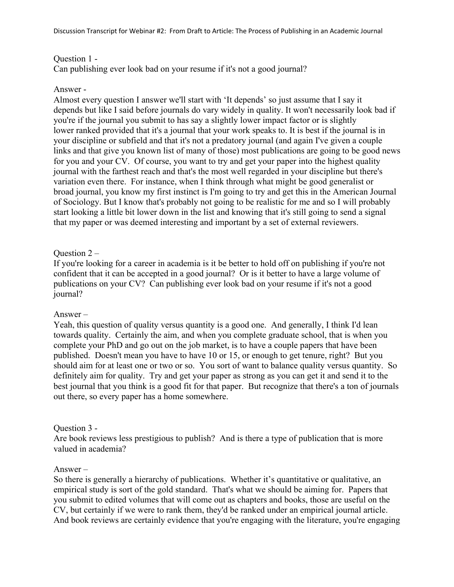### Question 1 -

Can publishing ever look bad on your resume if it's not a good journal?

### Answer -

Almost every question I answer we'll start with 'It depends' so just assume that I say it depends but like I said before journals do vary widely in quality. It won't necessarily look bad if you're if the journal you submit to has say a slightly lower impact factor or is slightly lower ranked provided that it's a journal that your work speaks to. It is best if the journal is in your discipline or subfield and that it's not a predatory journal (and again I've given a couple links and that give you known list of many of those) most publications are going to be good news for you and your CV. Of course, you want to try and get your paper into the highest quality journal with the farthest reach and that's the most well regarded in your discipline but there's variation even there. For instance, when I think through what might be good generalist or broad journal, you know my first instinct is I'm going to try and get this in the American Journal of Sociology. But I know that's probably not going to be realistic for me and so I will probably start looking a little bit lower down in the list and knowing that it's still going to send a signal that my paper or was deemed interesting and important by a set of external reviewers.

### Question 2 –

If you're looking for a career in academia is it be better to hold off on publishing if you're not confident that it can be accepted in a good journal? Or is it better to have a large volume of publications on your CV? Can publishing ever look bad on your resume if it's not a good journal?

## Answer –

Yeah, this question of quality versus quantity is a good one. And generally, I think I'd lean towards quality. Certainly the aim, and when you complete graduate school, that is when you complete your PhD and go out on the job market, is to have a couple papers that have been published. Doesn't mean you have to have 10 or 15, or enough to get tenure, right? But you should aim for at least one or two or so. You sort of want to balance quality versus quantity. So definitely aim for quality. Try and get your paper as strong as you can get it and send it to the best journal that you think is a good fit for that paper. But recognize that there's a ton of journals out there, so every paper has a home somewhere.

#### Question 3 -

Are book reviews less prestigious to publish? And is there a type of publication that is more valued in academia?

#### Answer –

So there is generally a hierarchy of publications. Whether it's quantitative or qualitative, an empirical study is sort of the gold standard. That's what we should be aiming for. Papers that you submit to edited volumes that will come out as chapters and books, those are useful on the CV, but certainly if we were to rank them, they'd be ranked under an empirical journal article. And book reviews are certainly evidence that you're engaging with the literature, you're engaging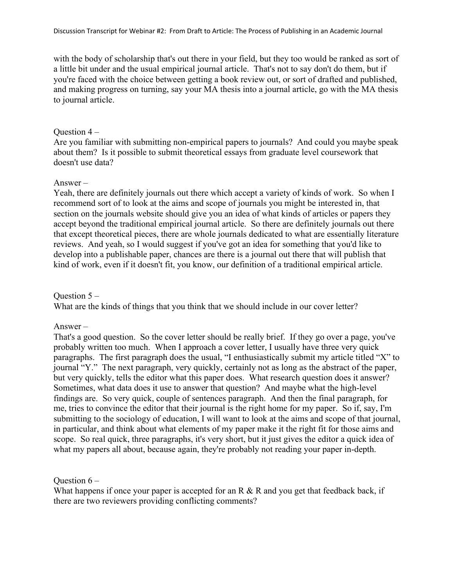with the body of scholarship that's out there in your field, but they too would be ranked as sort of a little bit under and the usual empirical journal article. That's not to say don't do them, but if you're faced with the choice between getting a book review out, or sort of drafted and published, and making progress on turning, say your MA thesis into a journal article, go with the MA thesis to journal article.

#### Question 4 –

Are you familiar with submitting non-empirical papers to journals? And could you maybe speak about them? Is it possible to submit theoretical essays from graduate level coursework that doesn't use data?

#### Answer –

Yeah, there are definitely journals out there which accept a variety of kinds of work. So when I recommend sort of to look at the aims and scope of journals you might be interested in, that section on the journals website should give you an idea of what kinds of articles or papers they accept beyond the traditional empirical journal article. So there are definitely journals out there that except theoretical pieces, there are whole journals dedicated to what are essentially literature reviews. And yeah, so I would suggest if you've got an idea for something that you'd like to develop into a publishable paper, chances are there is a journal out there that will publish that kind of work, even if it doesn't fit, you know, our definition of a traditional empirical article.

# Question 5 – What are the kinds of things that you think that we should include in our cover letter?

#### Answer –

That's a good question. So the cover letter should be really brief. If they go over a page, you've probably written too much. When I approach a cover letter, I usually have three very quick paragraphs. The first paragraph does the usual, "I enthusiastically submit my article titled "X" to journal "Y." The next paragraph, very quickly, certainly not as long as the abstract of the paper, but very quickly, tells the editor what this paper does. What research question does it answer? Sometimes, what data does it use to answer that question? And maybe what the high-level findings are. So very quick, couple of sentences paragraph. And then the final paragraph, for me, tries to convince the editor that their journal is the right home for my paper. So if, say, I'm submitting to the sociology of education, I will want to look at the aims and scope of that journal, in particular, and think about what elements of my paper make it the right fit for those aims and scope. So real quick, three paragraphs, it's very short, but it just gives the editor a quick idea of what my papers all about, because again, they're probably not reading your paper in-depth.

Question 6 –

What happens if once your paper is accepted for an R & R and you get that feedback back, if there are two reviewers providing conflicting comments?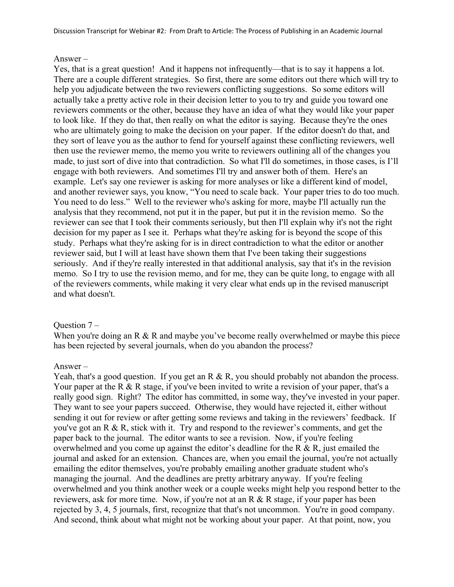#### Answer –

Yes, that is a great question! And it happens not infrequently—that is to say it happens a lot. There are a couple different strategies. So first, there are some editors out there which will try to help you adjudicate between the two reviewers conflicting suggestions. So some editors will actually take a pretty active role in their decision letter to you to try and guide you toward one reviewers comments or the other, because they have an idea of what they would like your paper to look like. If they do that, then really on what the editor is saying. Because they're the ones who are ultimately going to make the decision on your paper. If the editor doesn't do that, and they sort of leave you as the author to fend for yourself against these conflicting reviewers, well then use the reviewer memo, the memo you write to reviewers outlining all of the changes you made, to just sort of dive into that contradiction. So what I'll do sometimes, in those cases, is I'll engage with both reviewers. And sometimes I'll try and answer both of them. Here's an example. Let's say one reviewer is asking for more analyses or like a different kind of model, and another reviewer says, you know, "You need to scale back. Your paper tries to do too much. You need to do less." Well to the reviewer who's asking for more, maybe I'll actually run the analysis that they recommend, not put it in the paper, but put it in the revision memo. So the reviewer can see that I took their comments seriously, but then I'll explain why it's not the right decision for my paper as I see it. Perhaps what they're asking for is beyond the scope of this study. Perhaps what they're asking for is in direct contradiction to what the editor or another reviewer said, but I will at least have shown them that I've been taking their suggestions seriously. And if they're really interested in that additional analysis, say that it's in the revision memo. So I try to use the revision memo, and for me, they can be quite long, to engage with all of the reviewers comments, while making it very clear what ends up in the revised manuscript and what doesn't.

#### Ouestion  $7 -$

When you're doing an R & R and maybe you've become really overwhelmed or maybe this piece has been rejected by several journals, when do you abandon the process?

#### Answer –

Yeah, that's a good question. If you get an R & R, you should probably not abandon the process. Your paper at the R & R stage, if you've been invited to write a revision of your paper, that's a really good sign. Right? The editor has committed, in some way, they've invested in your paper. They want to see your papers succeed. Otherwise, they would have rejected it, either without sending it out for review or after getting some reviews and taking in the reviewers' feedback. If you've got an R & R, stick with it. Try and respond to the reviewer's comments, and get the paper back to the journal. The editor wants to see a revision. Now, if you're feeling overwhelmed and you come up against the editor's deadline for the R & R, just emailed the journal and asked for an extension. Chances are, when you email the journal, you're not actually emailing the editor themselves, you're probably emailing another graduate student who's managing the journal. And the deadlines are pretty arbitrary anyway. If you're feeling overwhelmed and you think another week or a couple weeks might help you respond better to the reviewers, ask for more time. Now, if you're not at an R & R stage, if your paper has been rejected by 3, 4, 5 journals, first, recognize that that's not uncommon. You're in good company. And second, think about what might not be working about your paper. At that point, now, you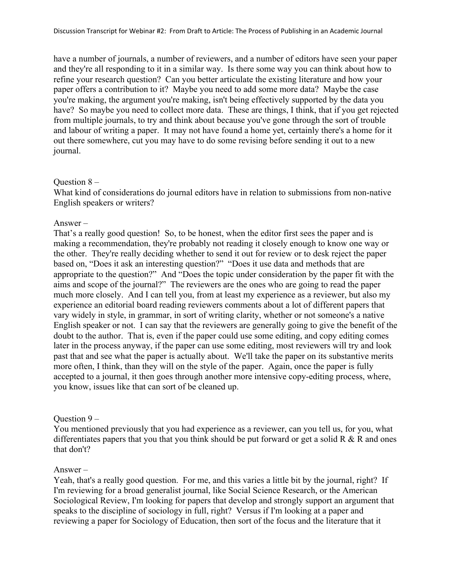have a number of journals, a number of reviewers, and a number of editors have seen your paper and they're all responding to it in a similar way. Is there some way you can think about how to refine your research question? Can you better articulate the existing literature and how your paper offers a contribution to it? Maybe you need to add some more data? Maybe the case you're making, the argument you're making, isn't being effectively supported by the data you have? So maybe you need to collect more data. These are things, I think, that if you get rejected from multiple journals, to try and think about because you've gone through the sort of trouble and labour of writing a paper. It may not have found a home yet, certainly there's a home for it out there somewhere, cut you may have to do some revising before sending it out to a new journal.

#### Ouestion  $8 -$

What kind of considerations do journal editors have in relation to submissions from non-native English speakers or writers?

### Answer –

That's a really good question! So, to be honest, when the editor first sees the paper and is making a recommendation, they're probably not reading it closely enough to know one way or the other. They're really deciding whether to send it out for review or to desk reject the paper based on, "Does it ask an interesting question?" "Does it use data and methods that are appropriate to the question?" And "Does the topic under consideration by the paper fit with the aims and scope of the journal?" The reviewers are the ones who are going to read the paper much more closely. And I can tell you, from at least my experience as a reviewer, but also my experience an editorial board reading reviewers comments about a lot of different papers that vary widely in style, in grammar, in sort of writing clarity, whether or not someone's a native English speaker or not. I can say that the reviewers are generally going to give the benefit of the doubt to the author. That is, even if the paper could use some editing, and copy editing comes later in the process anyway, if the paper can use some editing, most reviewers will try and look past that and see what the paper is actually about. We'll take the paper on its substantive merits more often, I think, than they will on the style of the paper. Again, once the paper is fully accepted to a journal, it then goes through another more intensive copy-editing process, where, you know, issues like that can sort of be cleaned up.

## Ouestion  $9 -$

You mentioned previously that you had experience as a reviewer, can you tell us, for you, what differentiates papers that you that you think should be put forward or get a solid R  $\&$  R and ones that don't?

#### Answer –

Yeah, that's a really good question. For me, and this varies a little bit by the journal, right? If I'm reviewing for a broad generalist journal, like Social Science Research, or the American Sociological Review, I'm looking for papers that develop and strongly support an argument that speaks to the discipline of sociology in full, right? Versus if I'm looking at a paper and reviewing a paper for Sociology of Education, then sort of the focus and the literature that it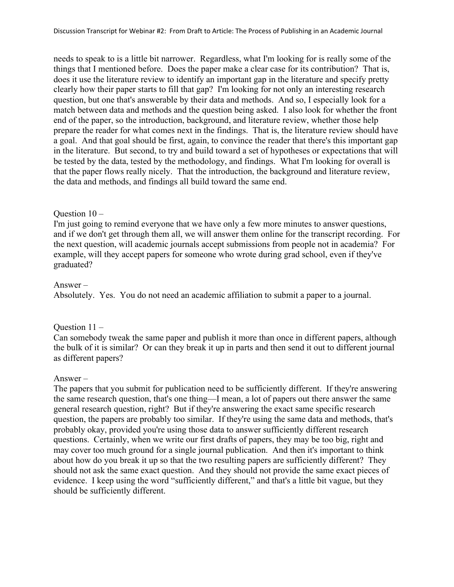needs to speak to is a little bit narrower. Regardless, what I'm looking for is really some of the things that I mentioned before. Does the paper make a clear case for its contribution? That is, does it use the literature review to identify an important gap in the literature and specify pretty clearly how their paper starts to fill that gap? I'm looking for not only an interesting research question, but one that's answerable by their data and methods. And so, I especially look for a match between data and methods and the question being asked. I also look for whether the front end of the paper, so the introduction, background, and literature review, whether those help prepare the reader for what comes next in the findings. That is, the literature review should have a goal. And that goal should be first, again, to convince the reader that there's this important gap in the literature. But second, to try and build toward a set of hypotheses or expectations that will be tested by the data, tested by the methodology, and findings. What I'm looking for overall is that the paper flows really nicely. That the introduction, the background and literature review, the data and methods, and findings all build toward the same end.

#### Ouestion  $10 -$

I'm just going to remind everyone that we have only a few more minutes to answer questions, and if we don't get through them all, we will answer them online for the transcript recording. For the next question, will academic journals accept submissions from people not in academia? For example, will they accept papers for someone who wrote during grad school, even if they've graduated?

#### Answer –

Absolutely. Yes. You do not need an academic affiliation to submit a paper to a journal.

#### Question 11 –

Can somebody tweak the same paper and publish it more than once in different papers, although the bulk of it is similar? Or can they break it up in parts and then send it out to different journal as different papers?

#### Answer –

The papers that you submit for publication need to be sufficiently different. If they're answering the same research question, that's one thing—I mean, a lot of papers out there answer the same general research question, right? But if they're answering the exact same specific research question, the papers are probably too similar. If they're using the same data and methods, that's probably okay, provided you're using those data to answer sufficiently different research questions. Certainly, when we write our first drafts of papers, they may be too big, right and may cover too much ground for a single journal publication. And then it's important to think about how do you break it up so that the two resulting papers are sufficiently different? They should not ask the same exact question. And they should not provide the same exact pieces of evidence. I keep using the word "sufficiently different," and that's a little bit vague, but they should be sufficiently different.